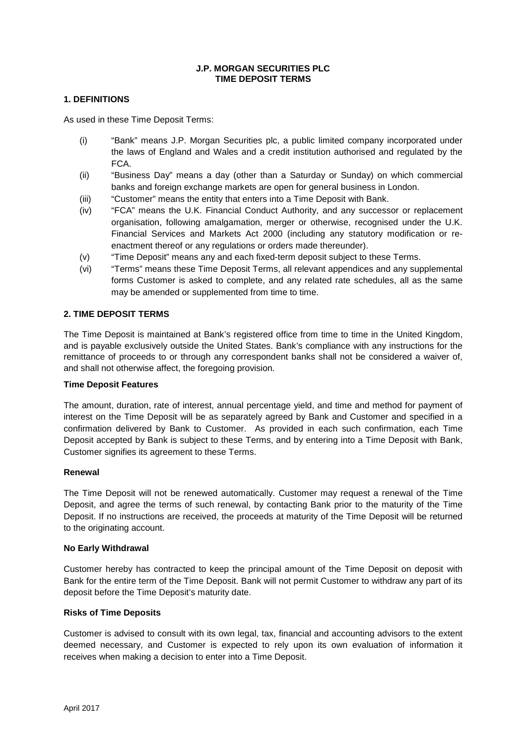#### **J.P. MORGAN SECURITIES PLC TIME DEPOSIT TERMS**

#### **1. DEFINITIONS**

As used in these Time Deposit Terms:

- (i) "Bank" means J.P. Morgan Securities plc, a public limited company incorporated under the laws of England and Wales and a credit institution authorised and regulated by the FCA.
- (ii) "Business Day" means a day (other than a Saturday or Sunday) on which commercial banks and foreign exchange markets are open for general business in London.
- (iii) "Customer" means the entity that enters into a Time Deposit with Bank.
- (iv) "FCA" means the U.K. Financial Conduct Authority, and any successor or replacement organisation, following amalgamation, merger or otherwise, recognised under the U.K. Financial Services and Markets Act 2000 (including any statutory modification or reenactment thereof or any regulations or orders made thereunder).
- (v) "Time Deposit" means any and each fixed-term deposit subject to these Terms.
- (vi) "Terms" means these Time Deposit Terms, all relevant appendices and any supplemental forms Customer is asked to complete, and any related rate schedules, all as the same may be amended or supplemented from time to time.

#### **2. TIME DEPOSIT TERMS**

The Time Deposit is maintained at Bank's registered office from time to time in the United Kingdom, and is payable exclusively outside the United States. Bank's compliance with any instructions for the remittance of proceeds to or through any correspondent banks shall not be considered a waiver of, and shall not otherwise affect, the foregoing provision.

#### **Time Deposit Features**

The amount, duration, rate of interest, annual percentage yield, and time and method for payment of interest on the Time Deposit will be as separately agreed by Bank and Customer and specified in a confirmation delivered by Bank to Customer. As provided in each such confirmation, each Time Deposit accepted by Bank is subject to these Terms, and by entering into a Time Deposit with Bank, Customer signifies its agreement to these Terms.

#### **Renewal**

The Time Deposit will not be renewed automatically. Customer may request a renewal of the Time Deposit, and agree the terms of such renewal, by contacting Bank prior to the maturity of the Time Deposit. If no instructions are received, the proceeds at maturity of the Time Deposit will be returned to the originating account.

#### **No Early Withdrawal**

Customer hereby has contracted to keep the principal amount of the Time Deposit on deposit with Bank for the entire term of the Time Deposit. Bank will not permit Customer to withdraw any part of its deposit before the Time Deposit's maturity date.

#### **Risks of Time Deposits**

Customer is advised to consult with its own legal, tax, financial and accounting advisors to the extent deemed necessary, and Customer is expected to rely upon its own evaluation of information it receives when making a decision to enter into a Time Deposit.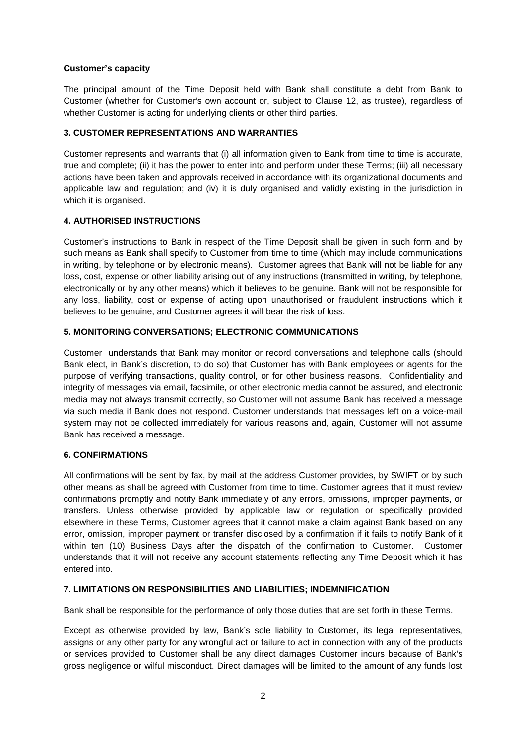# **Customer's capacity**

The principal amount of the Time Deposit held with Bank shall constitute a debt from Bank to Customer (whether for Customer's own account or, subject to Clause 12, as trustee), regardless of whether Customer is acting for underlying clients or other third parties.

### **3. CUSTOMER REPRESENTATIONS AND WARRANTIES**

Customer represents and warrants that (i) all information given to Bank from time to time is accurate, true and complete; (ii) it has the power to enter into and perform under these Terms; (iii) all necessary actions have been taken and approvals received in accordance with its organizational documents and applicable law and regulation; and (iv) it is duly organised and validly existing in the jurisdiction in which it is organised.

# **4. AUTHORISED INSTRUCTIONS**

Customer's instructions to Bank in respect of the Time Deposit shall be given in such form and by such means as Bank shall specify to Customer from time to time (which may include communications in writing, by telephone or by electronic means). Customer agrees that Bank will not be liable for any loss, cost, expense or other liability arising out of any instructions (transmitted in writing, by telephone, electronically or by any other means) which it believes to be genuine. Bank will not be responsible for any loss, liability, cost or expense of acting upon unauthorised or fraudulent instructions which it believes to be genuine, and Customer agrees it will bear the risk of loss.

# **5. MONITORING CONVERSATIONS; ELECTRONIC COMMUNICATIONS**

Customer understands that Bank may monitor or record conversations and telephone calls (should Bank elect, in Bank's discretion, to do so) that Customer has with Bank employees or agents for the purpose of verifying transactions, quality control, or for other business reasons. Confidentiality and integrity of messages via email, facsimile, or other electronic media cannot be assured, and electronic media may not always transmit correctly, so Customer will not assume Bank has received a message via such media if Bank does not respond. Customer understands that messages left on a voice-mail system may not be collected immediately for various reasons and, again, Customer will not assume Bank has received a message.

### **6. CONFIRMATIONS**

All confirmations will be sent by fax, by mail at the address Customer provides, by SWIFT or by such other means as shall be agreed with Customer from time to time. Customer agrees that it must review confirmations promptly and notify Bank immediately of any errors, omissions, improper payments, or transfers. Unless otherwise provided by applicable law or regulation or specifically provided elsewhere in these Terms, Customer agrees that it cannot make a claim against Bank based on any error, omission, improper payment or transfer disclosed by a confirmation if it fails to notify Bank of it within ten (10) Business Days after the dispatch of the confirmation to Customer. Customer understands that it will not receive any account statements reflecting any Time Deposit which it has entered into.

### **7. LIMITATIONS ON RESPONSIBILITIES AND LIABILITIES; INDEMNIFICATION**

Bank shall be responsible for the performance of only those duties that are set forth in these Terms.

Except as otherwise provided by law, Bank's sole liability to Customer, its legal representatives, assigns or any other party for any wrongful act or failure to act in connection with any of the products or services provided to Customer shall be any direct damages Customer incurs because of Bank's gross negligence or wilful misconduct. Direct damages will be limited to the amount of any funds lost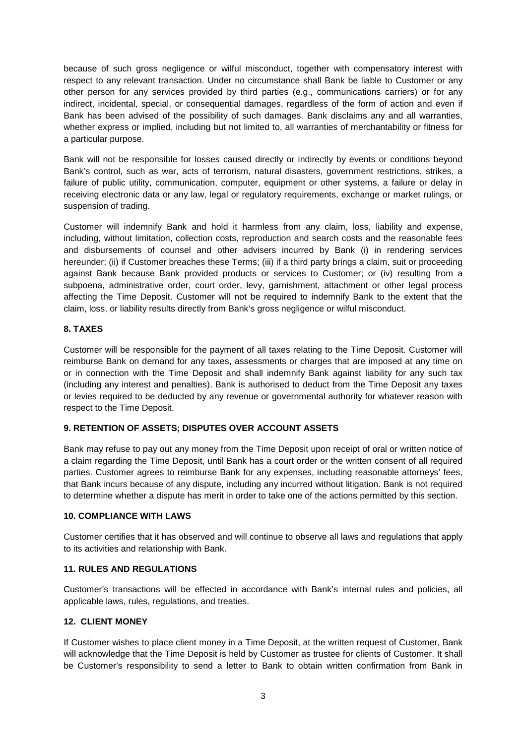because of such gross negligence or wilful misconduct, together with compensatory interest with respect to any relevant transaction. Under no circumstance shall Bank be liable to Customer or any other person for any services provided by third parties (e.g., communications carriers) or for any indirect, incidental, special, or consequential damages, regardless of the form of action and even if Bank has been advised of the possibility of such damages. Bank disclaims any and all warranties, whether express or implied, including but not limited to, all warranties of merchantability or fitness for a particular purpose.

Bank will not be responsible for losses caused directly or indirectly by events or conditions beyond Bank's control, such as war, acts of terrorism, natural disasters, government restrictions, strikes, a failure of public utility, communication, computer, equipment or other systems, a failure or delay in receiving electronic data or any law, legal or regulatory requirements, exchange or market rulings, or suspension of trading.

Customer will indemnify Bank and hold it harmless from any claim, loss, liability and expense, including, without limitation, collection costs, reproduction and search costs and the reasonable fees and disbursements of counsel and other advisers incurred by Bank (i) in rendering services hereunder; (ii) if Customer breaches these Terms; (iii) if a third party brings a claim, suit or proceeding against Bank because Bank provided products or services to Customer; or (iv) resulting from a subpoena, administrative order, court order, levy, garnishment, attachment or other legal process affecting the Time Deposit. Customer will not be required to indemnify Bank to the extent that the claim, loss, or liability results directly from Bank's gross negligence or wilful misconduct.

# **8. TAXES**

Customer will be responsible for the payment of all taxes relating to the Time Deposit. Customer will reimburse Bank on demand for any taxes, assessments or charges that are imposed at any time on or in connection with the Time Deposit and shall indemnify Bank against liability for any such tax (including any interest and penalties). Bank is authorised to deduct from the Time Deposit any taxes or levies required to be deducted by any revenue or governmental authority for whatever reason with respect to the Time Deposit.

# **9. RETENTION OF ASSETS; DISPUTES OVER ACCOUNT ASSETS**

Bank may refuse to pay out any money from the Time Deposit upon receipt of oral or written notice of a claim regarding the Time Deposit, until Bank has a court order or the written consent of all required parties. Customer agrees to reimburse Bank for any expenses, including reasonable attorneys' fees, that Bank incurs because of any dispute, including any incurred without litigation. Bank is not required to determine whether a dispute has merit in order to take one of the actions permitted by this section.

### **10. COMPLIANCE WITH LAWS**

Customer certifies that it has observed and will continue to observe all laws and regulations that apply to its activities and relationship with Bank.

### **11. RULES AND REGULATIONS**

Customer's transactions will be effected in accordance with Bank's internal rules and policies, all applicable laws, rules, regulations, and treaties.

# **12. CLIENT MONEY**

If Customer wishes to place client money in a Time Deposit, at the written request of Customer, Bank will acknowledge that the Time Deposit is held by Customer as trustee for clients of Customer. It shall be Customer's responsibility to send a letter to Bank to obtain written confirmation from Bank in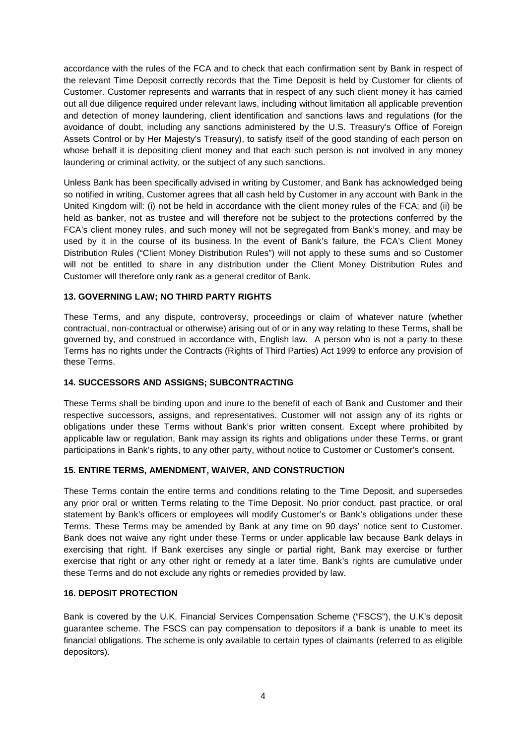accordance with the rules of the FCA and to check that each confirmation sent by Bank in respect of the relevant Time Deposit correctly records that the Time Deposit is held by Customer for clients of Customer. Customer represents and warrants that in respect of any such client money it has carried out all due diligence required under relevant laws, including without limitation all applicable prevention and detection of money laundering, client identification and sanctions laws and regulations (for the avoidance of doubt, including any sanctions administered by the U.S. Treasury's Office of Foreign Assets Control or by Her Majesty's Treasury), to satisfy itself of the good standing of each person on whose behalf it is depositing client money and that each such person is not involved in any money laundering or criminal activity, or the subject of any such sanctions.

Unless Bank has been specifically advised in writing by Customer, and Bank has acknowledged being so notified in writing, Customer agrees that all cash held by Customer in any account with Bank in the United Kingdom will: (i) not be held in accordance with the client money rules of the FCA; and (ii) be held as banker, not as trustee and will therefore not be subject to the protections conferred by the FCA's client money rules, and such money will not be segregated from Bank's money, and may be used by it in the course of its business. In the event of Bank's failure, the FCA's Client Money Distribution Rules ("Client Money Distribution Rules") will not apply to these sums and so Customer will not be entitled to share in any distribution under the Client Money Distribution Rules and Customer will therefore only rank as a general creditor of Bank.

### **13. GOVERNING LAW; NO THIRD PARTY RIGHTS**

These Terms, and any dispute, controversy, proceedings or claim of whatever nature (whether contractual, non-contractual or otherwise) arising out of or in any way relating to these Terms, shall be governed by, and construed in accordance with, English law. A person who is not a party to these Terms has no rights under the Contracts (Rights of Third Parties) Act 1999 to enforce any provision of these Terms.

### **14. SUCCESSORS AND ASSIGNS; SUBCONTRACTING**

These Terms shall be binding upon and inure to the benefit of each of Bank and Customer and their respective successors, assigns, and representatives. Customer will not assign any of its rights or obligations under these Terms without Bank's prior written consent. Except where prohibited by applicable law or regulation, Bank may assign its rights and obligations under these Terms, or grant participations in Bank's rights, to any other party, without notice to Customer or Customer's consent.

### **15. ENTIRE TERMS, AMENDMENT, WAIVER, AND CONSTRUCTION**

These Terms contain the entire terms and conditions relating to the Time Deposit, and supersedes any prior oral or written Terms relating to the Time Deposit. No prior conduct, past practice, or oral statement by Bank's officers or employees will modify Customer's or Bank's obligations under these Terms. These Terms may be amended by Bank at any time on 90 days' notice sent to Customer. Bank does not waive any right under these Terms or under applicable law because Bank delays in exercising that right. If Bank exercises any single or partial right, Bank may exercise or further exercise that right or any other right or remedy at a later time. Bank's rights are cumulative under these Terms and do not exclude any rights or remedies provided by law.

### **16. DEPOSIT PROTECTION**

Bank is covered by the U.K. Financial Services Compensation Scheme ("FSCS"), the U.K's deposit guarantee scheme. The FSCS can pay compensation to depositors if a bank is unable to meet its financial obligations. The scheme is only available to certain types of claimants (referred to as eligible depositors).